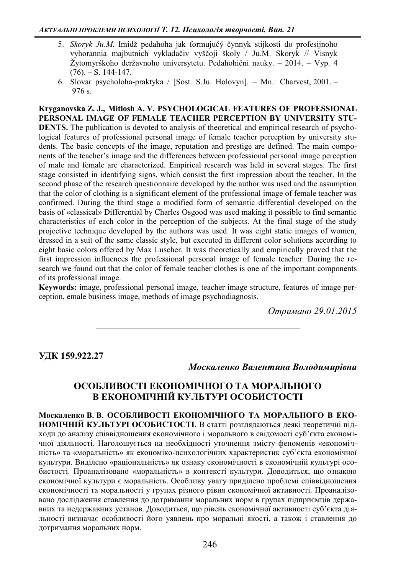- 5. *Skoryk Ju.M.* Imidž pedahoha jak formujučý čynnyk stijkosti do profesijnoho vyhorannia majbutnich vykladačiv vyščoji školy / Ju.M. Skoryk // Visnyk Žytomyrśkoho deržavnoho universytetu. Pedahohični nauky.  $-$  2014.  $-$  Vyp. 4  $(76)$ .  $-$  S. 144-147.
- 6. Slovar psycholoha-praktyka / [Sost. S.Ju. Holovyn]. Mn.: Charvest, 2001. -976 s.

**Kryganovska Z. J., Mitlosh A. V. PSYCHOLOGICAL FEATURES OF PROFESSIONAL PERSONAL IMAGE OF FEMALE TEACHER PERCEPTION BY UNIVERSITY STU-DENTS.** The publication is devoted to analysis of theoretical and empirical research of psychological features of professional personal image of female teacher perception by university students. The basic concepts of the image, reputation and prestige are defined. The main components of the teacher's image and the differences between professional personal image perception of male and female are characterized. Empirical research was held in several stages. The first stage consisted in identifying signs, which consist the first impression about the teacher. In the second phase of the research questionnaire developed by the author was used and the assumption that the color of clothing is a significant element of the professional image of female teacher was confirmed. During the third stage a modified form of semantic differential developed on the basis of «classical» Differential by Charles Osgood was used making it possible to find semantic characteristics of each color in the perception of the subjects. At the final stage of the study projective technique developed by the authors was used. It was eight static images of women, dressed in a suit of the same classic style, but executed in different color solutions according to eight basic colors offered by Max Luscher. It was theoretically and empirically proved that the first impression influences the professional personal image of female teacher. During the research we found out that the color of female teacher clothes is one of the important components of its professional image.

**Keywords:** image, professional personal image, teacher image structure, features of image perception, emale business image, methods of image psychodiagnosis.

*Ɉɬɪɢɦɚɧɨ 29.01.2015* 

УДК 159.922.27

#### Москаленко Валентина Володимирівна

## **ОСОБЛИВОСТІ ЕКОНОМІЧНОГО ТА МОРАЛЬНОГО В ЕКОНОМІЧНІЙ КУЛЬТУРІ ОСОБИСТОСТІ**

**Москаленко В. В. ОСОБЛИВОСТІ ЕКОНОМІЧНОГО ТА МОРАЛЬНОГО В ЕКО-НОМІЧНІЙ КУЛЬТУРІ ОСОБИСТОСТІ.** В статті розглядаються деякі теоретичні підходи до аналізу співвідношення економічного і морального в свідомості суб'єкта економічної діяльності. Наголошується на необхідності уточнення змісту феноменів «економічність» та «моральність» як економіко-психологічних характеристик суб'єкта економічної культури. Виділено «раціональність» як ознаку економічності в економічній культурі особистості. Проаналізовано «моральність» в контексті культури. Доводиться, що ознакою економічної культури є моральність. Особливу увагу приділено проблемі співвідношення економічності та моральності у групах різного рівня економічної активності. Проаналізовано дослідження ставлення до дотримання моральних норм в групах підприємців державних та недержавних установ. Доводиться, що рівень економічної активності суб'єкта діяльності визначає особливості його уявлень про моральні якості, а також і ставлення до дотримання моральних норм.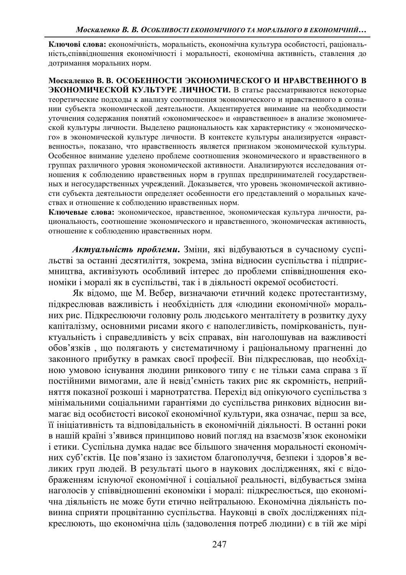Ключові слова: економічність, моральність, економічна культура особистості, раціональність співвідношення економічності і моральності, економічна активність, ставлення до дотримання моральних норм.

Москаленко В. В. ОСОБЕННОСТИ ЭКОНОМИЧЕСКОГО И НРАВСТВЕННОГО В ЭКОНОМИЧЕСКОЙ КУЛЬТУРЕ ЛИЧНОСТИ. В статье рассматриваются некоторые теоретические подходы к анализу соотношения экономического и нравственного в сознании субъекта экономической деятельности. Акцентируется внимание на необходимости уточнения содержания понятий «экономическое» и «нравственное» в анализе экономической культуры личности. Выделено рациональность как характеристику « экономического» в экономической культуре личности. В контексте культуры анализируется «нравственность», показано, что нравственность является признаком экономической культуры. Особенное внимание уделено проблеме соотношения экономического и нравственного в группах различного уровня экономической активности. Анализируются исследования отношения к соблюдению нравственных норм в группах предпринимателей государственных и негосударственных учреждений. Доказывется, что уровень экономической активности субъекта деятельности определяет особенности его представлений о моральных качествах и отношение к соблюдению нравственных норм.

**Ключевые слова:** экономическое, нравственное, экономическая культура личности, рациональность, соотношение экономического и нравственного, экономическая активность, отношение к соблюдению нравственных норм.

Актуальність проблеми. Зміни, які відбуваються в сучасному суспільстві за останні десятиліття, зокрема, зміна відносин суспільства і підприємництва, активізують особливий інтерес до проблеми співвідношення економіки і моралі як в суспільстві, так і в діяльності окремої особистості.

Як відомо, ще М. Вебер, визначаючи етичний кодекс протестантизму, підкреслював важливість і необхідність для «людини економічної» моральних рис. Підкреслюючи головну роль людського менталітету в розвитку духу капіталізму, основними рисами якого є наполегливість, поміркованість, пунктуальність і справедливість у всіх справах, він наголошував на важливості обов'язків, що полягають у систематичному і раціональному прагненні до законного прибутку в рамках своєї професії. Він підкреслював, що необхідною умовою існування людини ринкового типу є не тільки сама справа з її постійними вимогами, але й невід'ємність таких рис як скромність, неприйняття показної розкоші і марнотратства. Перехід від опікуючого суспільства з мінімальними соціальними гарантіями до суспільства ринкових відносин вимагає від особистості високої економічної культури, яка означає, перш за все, її ініціативність та відповідальність в економічній діяльності. В останні роки в нашій країні з'явився принципово новий погляд на взаємозв'язок економіки і етики. Суспільна думка надає все більшого значення моральності економічних суб'єктів. Це пов'язано із захистом благополуччя, безпеки і здоров'я великих груп людей. В результаті цього в наукових дослідженнях, які є відображенням існуючої економічної і соціальної реальності, відбувається зміна наголосів у співвідношенні економіки і моралі: підкреслюється, що економічна діяльність не може бути етично нейтральною. Економічна діяльність повинна сприяти процвітанню суспільства. Науковці в своїх дослідженнях підкреслюють, що економічна ціль (задоволення потреб людини) є в тій же мірі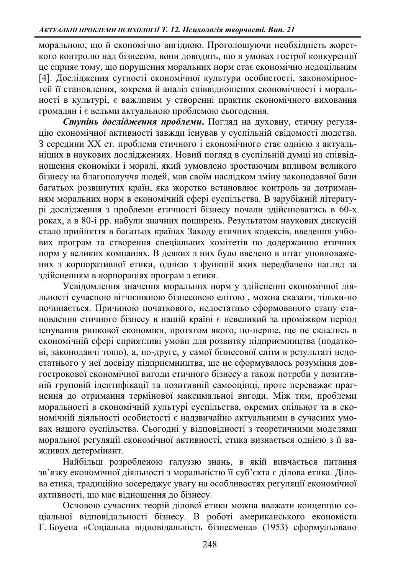моральною, що й економічно вигідною. Проголошуючи необхідність жорсткого контролю над бізнесом, вони доводять, що в умовах гострої конкуренції це сприяє тому, що порушення моральних норм стає економічно недоцільним [4]. Дослідження сутності економічної культури особистості, закономірностей її становлення, зокрема й аналіз співвідношення економічності і моральності в культурі, є важливим у створенні практик економічного виховання громадян і є вельми актуальною проблемою сьогодення.

Ступінь дослідження проблеми. Погляд на духовну, етичну регуляцію економічної активності завжди існував у суспільній свідомості людства. 3 середини XX ст. проблема етичного і економічного стає однією з актуальніших в наукових дослідженнях. Новий погляд в суспільній думці на співвідношення економіки і моралі, який зумовлено зростаючим впливом великого бізнесу на благополуччя людей, мав своїм наслідком зміну законодавчої бази багатьох розвинутих країн, яка жорстко встановлює контроль за дотриманням моральних норм в економічній сфері суспільства. В зарубіжній літературі дослідження з проблеми етичності бізнесу почали здійснюватись в 60-х роках, а в 80-і рр. набули значних поширень. Результатом наукових дискусій стало прийняття в багатьох країнах Заходу етичних кодексів, введення учбових програм та створення спеціальних комітетів по додержанню етичних норм у великих компаніях. В деяких з них було введено в штат уповноважених з корпоративної етики, однією з функцій яких передбачено нагляд за здійсненням в корпораціях програм з етики.

Усвідомлення значення моральних норм у здійсненні економічної діяльності сучасною вітчизняною бізнесовою елітою, можна сказати, тільки-но починається. Причиною початкового, недостатньо сформованого етапу становлення етичного бізнесу в нашій країні є невеликий за проміжком період існування ринкової економіки, протягом якого, по-перше, ще не склались в економічній сфері сприятливі умови для розвитку підприємництва (податкові, законодавчі тощо), а, по-друге, у самої бізнесової еліти в результаті недостатнього у неї досвіду підприємництва, ще не сформувалось розуміння довгострокової економічної вигоди етичного бізнесу а також потреби у позитивній груповій ідентифікації та позитивній самооцінці, проте переважає прагнення до отримання термінової максимальної вигоди. Між тим, проблеми моральності в економічній культурі суспільства, окремих спільнот та в економічній діяльності особистості є надзвичайно актуальними в сучасних умовах нашого суспільства. Сьогодні у відповідності з теоретичними моделями моральної регуляції економічної активності, етика визнається однією з її важливих детермінант.

Найбільш розробленою галуззю знань, в якій вивчається питання зв'язку економічної діяльності з моральністю її суб'єкта є ділова етика. Ділова етика, традиційно зосереджує увагу на особливостях регуляції економічної активності, що має відношення до бізнесу.

Основою сучасних теорій ділової етики можна вважати концепцію соціальної відповідальності бізнесу. В роботі американського економіста Г. Боуена «Соціальна відповідальність бізнесмена» (1953) сформульовано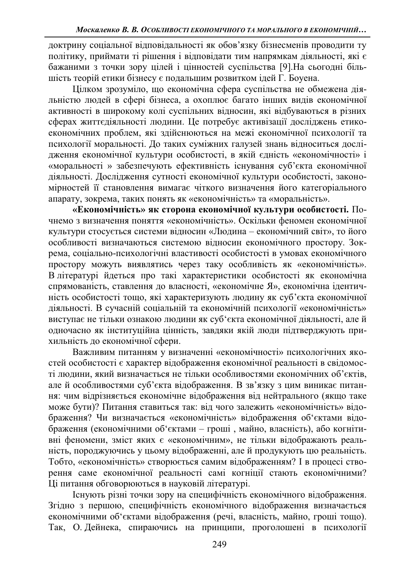доктрину соціальної відповідальності як обов'язку бізнесменів проводити ту політику, приймати ті рішення і відповідати тим напрямкам діяльності, які є бажаними з точки зору цілей і цінностей суспільства [9]. На сьогодні більшість теорій етики бізнесу є подальшим розвитком ідей Г. Боуена.

Цілком зрозуміло, що економічна сфера суспільства не обмежена діяльністю людей в сфері бізнеса, а охоплює багато інших видів економічної активності в широкому колі суспільних відносин, які відбуваються в різних сферах життєдіяльності людини. Це потребує активізації досліджень етикоекономічних проблем, які здійснюються на межі економічної психології та психології моральності. До таких суміжних галузей знань відноситься дослідження економічної культури особистості, в якій єдність «економічності» і «моральності » забезпечують ефективність існування суб'єкта економічної діяльності. Дослідження сутності економічної культури особистості, закономірностей її становлення вимагає чіткого визначення його категоріального апарату, зокрема, таких понять як «економічність» та «моральність».

**• СКОНОМІЧНІСТЬ» ЯК СТОРОНА ЕКОНОМІЧНОЇ КУЛЬТУРИ ОСОбИСТОСТІ.** ПОчнемо з визначення поняття «економічність». Оскільки феномен економічної культури стосується системи відносин «Людина – економічний світ», то його особливості визначаються системою відносин економічного простору. Зокрема, соціально-психологічні властивості особистості в умовах економічного простору можуть виявлятись через таку особливість як «економічність». В літературі йдеться про такі характеристики особистості як економічна спрямованість, ставлення до власності, «економічне Я», економічна ідентичність особистості тощо, які характеризують людину як суб'єкта економічної діяльності. В сучасній соціальній та економічній психології «економічність» виступає не тільки ознакою людини як суб'єкта економічної діяльності, але й одночасно як інституційна цінність, завдяки якій люди підтверджують прихильність до економічної сфери.

Важливим питанням у визначенні «економічності» психологічних якостей особистості є характер відображення економічної реальності в свідомості людини, який визначається не тільки особливостями економічних об'єктів, але й особливостями суб'єкта відображення. В зв'язку з цим виникає питання: чим відрізняється економічне відображення від нейтрального (якщо таке може бути)? Питання ставиться так: від чого залежить «економічність» відображення? Чи визначається «економічність» відображення об'єктами відображення (економічними об'єктами – гроші, майно, власність), або когнітивні феномени, зміст яких є «економічним», не тільки відображають реальність, породжуючись у цьому відображенні, але й продукують цю реальність. Тобто, «економічність» створюється самим відображенням? І в процесі створення саме економічної реальності самі когніції стають економічними? ти питання обговорюються в науковій літературі.

Існують різні точки зору на специфічність економічного відображення. Згідно з першою, специфічність економічного відображення визначається економічними об'єктами відображення (речі, власність, майно, гроші тощо). Так, О. Дейнека, спираючись на принципи, проголошені в психології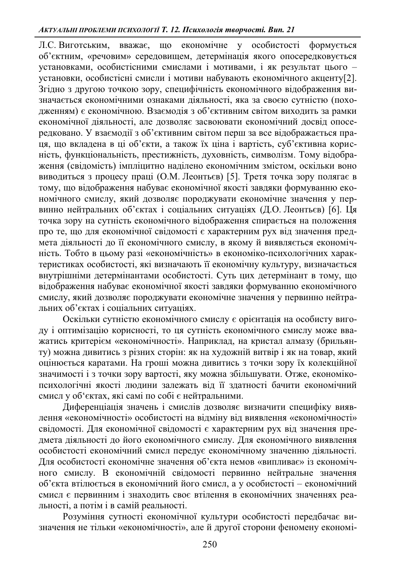Л.С. Виготським, вважає, що економічне у особистості формується об'єктним, «речовим» середовищем, детермінація якого опосередковується установками, особистісними смислами і мотивами, і як результат цього установки, особистісні смисли і мотиви набувають економічного акценту[2]. элідно з другою точкою зору, специфічність економічного відображення визначається економічними ознаками діяльності, яка за своєю сутністю (походженням) є економічною. Взаємодія з об'єктивним світом виходить за рамки економічної діяльності, але дозволяє засвоювати економічний досвід опосередковано. У взаємодії з об'єктивним світом перш за все відображається праця, що вкладена в ці об'єкти, а також їх ціна і вартість, суб'єктивна корисність, функціональність, престижність, духовність, символізм. Тому відображення (свідомість) імпліцитно наділено економічним змістом, оскільки воно виводиться з процесу праці (О.М. Леонтьєв) [5]. Третя точка зору полягає в тому, що відображення набуває економічної якості завдяки формуванню економічного смислу, який дозволяє породжувати економічне значення у первинно нейтральних об'єктах і соціальних ситуаціях (Д.О. Леонтьєв) [6]. Ця точка зору на сутність економічного відображення спирається на положення про те, що для економічної свідомості є характерним рух від значення предмета діяльності до її економічного смислу, в якому й виявляється економічність. Тобто в цьому разі «економічність» в економіко-психологічних характеристиках особистості, які визначають її економічну культуру, визначається внутрішніми детермінантами особистості. Суть цих детермінант в тому, що відображення набуває економічної якості завдяки формуванню економічного смислу, який дозволяє породжувати економічне значення у первинно нейтральних об'єктах і соціальних ситуаціях.

Оскільки сутністю економічного смислу є орієнтація на особисту вигоду і оптимізацію корисності, то ця сутність економічного смислу може вважатись критерієм «економічності». Наприклад, на кристал алмазу (брильянту) можна дивитись з різних сторін: як на художній витвір і як на товар, який оцінюється каратами. На гроші можна дивитись з точки зору їх колекційної значимості і з точки зору вартості, яку можна збільшувати. Отже, економікопсихологічні якості людини залежать від її здатності бачити економічний смисл у об'єктах, які самі по собі є нейтральними.

Диференціація значень і смислів дозволяє визначити специфіку виявлення «економічності» особистості на відміну від виявлення «економічності» свідомості. Для економічної свідомості є характерним рух від значення предмета діяльності до його економічного смислу. Для економічного виявлення особистості економічний смисл передує економічному значенню діяльності. Для особистості економічне значення об'єкта немов «випливає» із економічного смислу. В економічній свідомості первинно нейтральне значення  $\overline{6}$ 'єкта втілюється в економічний його смисл, а у особистості – економічний смисл є первинним і знаходить своє втілення в економічних значеннях реальності, а потім і в самій реальності.

Розуміння сутності економічної культури особистості передбачає визначення не тільки «економічності», але й другої сторони феномену економі-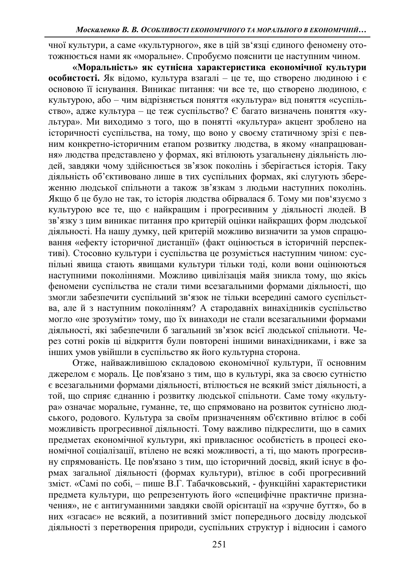чної культури, а саме «культурного», яке в цій зв'язці єдиного феномену ототожнюється нами як «моральне». Спробуємо пояснити це наступним чином.

«Моральність» як сутнісна характеристика економічної культури **ɨɫɨɛɢɫɬɨɫɬɿ**əɤ ɜɿɞɨɦɨ ɤɭɥɶɬɭɪɚ ɜɡɚɝɚɥɿ ± ɰɟ ɬɟɳɨ ɫɬɜɨɪɟɧɨ ɥɸɞɢɧɨɸɿ ɽ основою її існування. Виникає питання: чи все те, що створено людиною, є культурою, або - чим відрізняється поняття «культура» від поняття «суспіль- $\epsilon$ тво», адже культура – це теж суспільство? Є багато визначень поняття «культура». Ми виходимо з того, що в понятті «культура» акцент зроблено на  $i$ еторичності суспільства, на тому, що воно у своєму статичному зрізі є певним конкретно-історичним етапом розвитку людства, в якому «напрацювання» людства представлено у формах, які втілюють узагальнену діяльність людей, завдяки чому здійснюється зв'язок поколінь і зберігається історія. Таку діяльність об'єктивовано лише в тих суспільних формах, які слугують збереженню людської спільноти а також зв'язкам з людьми наступних поколінь. Якщо б це було не так, то історія людства обірвалася б. Тому ми пов'язуємо з культурою все те, що є найкращим і прогресивним у діяльності людей. В зв'язку з цим виникає питання про критерій оцінки найкращих форм людської діяльності. На нашу думку, цей критерій можливо визначити за умов спрацювання «ефекту історичної дистанції» (факт оцінюється в історичній перспективі). Стосовно культури і суспільства це розуміється наступним чином: суспільні явища стають явищами культури тільки тоді, коли вони оцінюються наступними поколіннями. Можливо цивілізація майя зникла тому, що якісь феномени суспільства не стали тими всезагальними формами діяльності, що эмогли забезпечити суспільний зв'язок не тільки всередині самого суспільства, але й з наступним поколінням? А стародавніх винахідників суспільство могло «не зрозуміти» тому, що їх винаходи не стали всезагальними формами діяльності, які забезпечили б загальний зв'язок всієї людської спільноти. Через сотні років ці відкриття були повторені іншими винахідниками, і вже за інших умов увійшли в суспільство як його культурна сторона.

Отже, найважливішою складовою економічної культури, її основним джерелом є мораль. Це пов'язано з тим, що в культурі, яка за своєю сутністю € всезагальними формами діяльності, втілюється не всякий зміст діяльності, а той, що сприяє єднанню і розвитку людської спільноти. Саме тому «культура» означає моральне, гуманне, те, що спрямовано на розвиток сутнісно людського, родового. Культура за своїм призначенням об'єктивно втілює в собі можливість прогресивної діяльності. Тому важливо підкреслити, що в самих предметах економічної культури, які привласнює особистість в процесі економічної соціалізації, втілено не всякі можливості, а ті, що мають прогресивну спрямованість. Це пов'язано з тим, що історичний досвід, який існує в формах загальної діяльності (формах культури), втілює в собі прогресивний зміст. «Самі по собі, – пише В.Г. Табачковський, - функційні характеристики предмета культури, що репрезентують його «специфічне практичне призначення», не є антигуманними завдяки своїй орієнтації на «зручне буття», бо в них «згасає» не всякий, а позитивний зміст попереднього досвіду людської діяльності з перетворення природи, суспільних структур і відносин і самого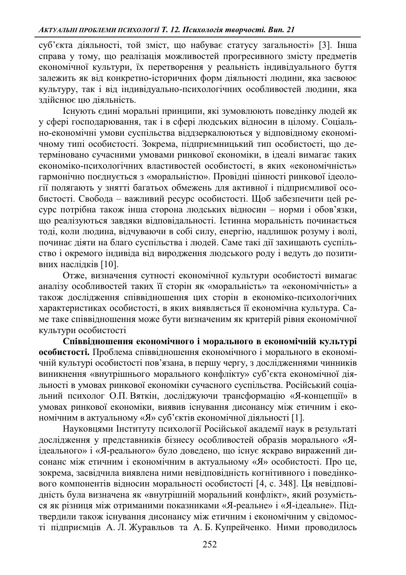суб'єкта діяльності, той зміст, що набуває статусу загальності» [3]. Інша справа у тому, що реалізація можливостей прогресивного змісту предметів економічної культури, їх перетворення у реальність індивідуального буття залежить як від конкретно-історичних форм діяльності людини, яка засвоює культуру, так і від індивідуально-психологічних особливостей людини, яка здійснює цю діяльність.

Існують єдині моральні принципи, які зумовлюють поведінку людей як у сфері господарювання, так і в сфері людських відносин в цілому. Соціальɧɨ-ɟɤɨɧɨɦɿɱɧɿɭɦɨɜɢɫɭɫɩɿɥɶɫɬɜɚɜɿɞɞɡɟɪɤɚɥɸɸɬɶɫɹɭɜɿɞɩɨɜɿɞɧɨɦɭɟɤɨɧɨɦɿ чному типі особистості. Зокрема, підприємницький тип особистості, що детерміновано сучасними умовами ринкової економіки, в ідеалі вимагає таких економіко-психологічних властивостей особистості, в яких «економічність» гармонічно поєднується з «моральністю». Провідні цінності ринкової ідеології полягають у знятті багатьох обмежень для активної і підприємливої особистості. Свобода – важливий ресурс особистості. Щоб забезпечити цей ресурс потрібна також інша сторона людських відносин – норми і обов'язки, що реалізуються завдяки відповідальності. Істинна моральність починається тоді, коли людина, відчуваючи в собі силу, енергію, надлишок розуму і волі, починає діяти на благо суспільства і людей. Саме такі дії захищають суспільство і окремого індивіда від виродження людського роду і ведуть до позитивних наслілків [10].

Отже, визначення сутності економічної культури особистості вимагає аналізу особливостей таких її сторін як «моральність» та «економічність» а також дослідження співвідношення цих сторін в економіко-психологічних характеристиках особистості, в яких виявляється її економічна культура. Са-**N** Take співвідношення може бути визначеним як критерій рівня економічної культури особистості

**Співвідношення економічного і морального в економічній культурі особистості.** Проблема співвідношення економічного і морального в економічній культурі особистості пов'язана, в першу чергу, з дослідженнями чинників виникнення «внутрішнього морального конфлікту» суб'єкта економічної діяльності в умовах ринкової економіки сучасного суспільства. Російський соціальний психолог О.П. Вяткін, досліджуючи трансформацію «Я-концепції» в умовах ринкової економіки, виявив існування дисонансу між етичним і економічним в актуальному «Я» суб'єктів економічної діяльності [1].

Науковцями Інституту психології Російської академії наук в результаті дослідження у представників бізнесу особливостей образів морального «Яідеального» і «Я-реального» було доведено, що існує яскраво виражений дисонанс між етичним і економічним в актуальному «Я» особистості. Про це, зокрема, засвідчила виявлена ними невідповідність когнітивного і поведінко**вого компонентів відносин моральності особистості** [4, с. 348]. Ця невідповідність була визначена як «внутрішній моральний конфлікт», який розуміється як різниця між отриманими показниками «Я-реальне» і «Я-ідеальне». Підтвердили також існування дисонансу між етичним і економічним у свідомості підприємців А. Л. Журавльов та А. Б. Купрейченко. Ними проводилось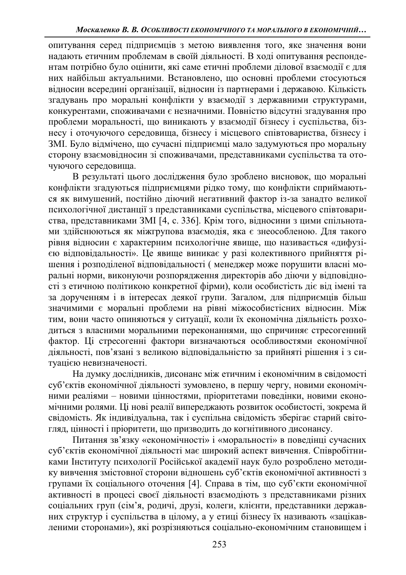опитування серед підприємців з метою виявлення того, яке значення вони надають етичним проблемам в своїй діяльності. В ході опитування респондентам потрібно було оцінити, які саме етичні проблеми ділової взаємодії є для них найбільш актуальними. Встановлено, що основні проблеми стосуються відносин всередині організації, відносин із партнерами і державою. Кількість згадувань про моральні конфлікти у взаємодії з державними структурами, конкурентами, споживачами є незначними. Повністю відсутні згадування про проблеми моральності, що виникають у взаємодії бізнесу і суспільства, бізнесу і оточуючого середовища, бізнесу і місцевого співтовариства, бізнесу і ЗМІ. Було відмічено, що сучасні підприємці мало задумуються про моральну сторону взаємовідносин зі споживачами, представниками суспільства та оточуючого середовища.

В результаті цього дослідження було зроблено висновок, що моральні конфлікти згадуються підприємцями рідко тому, що конфлікти сприймаються як вимушений, постійно діючий негативний фактор із-за занадто великої психологічної дистанції з представниками суспільства, місцевого співтовариства, представниками ЗМІ [4, с. 336]. Крім того, відносини з цими спільнотами здійснюються як міжгрупова взаємодія, яка є знеособленою. Для такого рівня відносин є характерним психологічне явище, що називається «дифузісю відповідальності». Це явище виникає у разі колективного прийняття рішення і розподіленої відповідальності (менеджер може порушити власні моральні норми, виконуючи розпорядження директорів або діючи у відповідності з етичною політикою конкретної фірми), коли особистість діє від імені та за дорученням і в інтересах деякої групи. Загалом, для підприємців більш значимими є моральні проблеми на рівні міжособистісних відносин. Між тим, вони часто опиняються у ситуації, коли їх економічна діяльність розходиться з власними моральними переконаннями, що спричиняє стресогенний фактор. Ці стресогенні фактори визначаються особливостями економічної діяльності, пов'язані з великою відповідальністю за прийняті рішення і з ситуацією невизначеності.

На думку дослідників, дисонанс між етичним і економічним в свідомості суб'єктів економічної діяльності зумовлено, в першу чергу, новими економічними реаліями – новими цінностями, пріоритетами поведінки, новими економічними ролями. Ці нові реалії випереджають розвиток особистості, зокрема й свідомість. Як індивідуальна, так і суспільна свідомість зберігає старий світогляд, цінності і пріоритети, що призводить до когнітивного дисонансу.

Питання зв'язку «економічності» і «моральності» в поведінці сучасних суб'єктів економічної діяльності має широкий аспект вивчення. Співробітниками Інституту психології Російської академії наук було розроблено методику вивчення змістовної сторони відношень суб'єктів економічної активності з •<br>групами їх соціального оточення [4]. Справа в тім, що суб'єкти економічної активності в процесі своєї діяльності взаємодіють з представниками різних соціальних груп (сім'я, родичі, друзі, колеги, клієнти, представники державних структур і суспільства в цілому, а у етиці бізнесу їх називають «зацікавленими сторонами»), які розрізняються соціально-економічним становищем і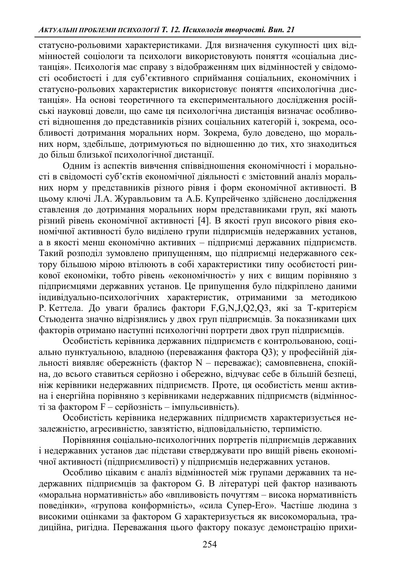статусно-рольовими характеристиками. Для визначення сукупності цих відмінностей соціологи та психологи використовують поняття «соціальна дистанція». Психологія має справу з відображенням цих відмінностей у свідомості особистості і для суб'єктивного сприймання соціальних, економічних і статусно-рольових характеристик використовує поняття «психологічна дистанція». На основі теоретичного та експериментального дослідження російські науковці довели, що саме ця психологічна дистанція визначає особливості відношення до представників різних соціальних категорій і, зокрема, особливості дотримання моральних норм. Зокрема, було доведено, що моральних норм, здебільше, дотримуються по відношенню до тих, хто знаходиться до більш близької психологічної дистанції.

Одним із аспектів вивчення співвідношення економічності і моральності в свідомості суб'єктів економічної діяльності є змістовний аналіз моральних норм у представників різного рівня і форм економічної активності. В цьому ключі Л.А. Журавльовим та А.Б. Купрейченко здійснено дослідження ставлення до дотримання моральних норм представниками груп, які мають різний рівень економічної активності [4]. В якості груп високого рівня економічної активності було виділено групи підприємців недержавних установ, а в якості менш економічно активних – підприємці державних підприємств. Такий розподіл зумовлено припущенням, що підприємці недержавного сектору більшою мірою втілюють в собі характеристики типу особистості рин- $\overline{Y}$ кової економіки, тобто рівень «економічності» у них є вищим порівняно з підприємцями державних установ. Це припущення було підкріплено даними індивідуально-психологічних характеристик, отриманими за методикою P. Кеттела. До уваги брались фактори F,G,N,J,Q2,Q3, які за Т-критерієм Стьюдента значно відрізнялись у двох груп підприємців. За показниками цих факторів отримано наступні психологічні портрети двох груп підприємців.

Особистість керівника державних підприємств є контрольованою, соціально пунктуальною, владною (переважання фактора Q3); у професійній діяльності виявляє обережність (фактор N - переважає); самовпевнена, спокійна, до всього ставиться серйозно і обережно, відчуває себе в більшій безпеці, ніж керівники недержавних підприємств. Проте, ця особистість менш активна і енергійна порівняно з керівниками недержавних підприємств (відмінності за фактором  $F -$ серйозність – імпульсивність).

Особистість керівника недержавних підприємств характеризується незалежністю, агресивністю, завзятістю, відповідальністю, терпимістю.

Порівняння соціально-психологічних портретів підприємців державних і недержавних установ дає підстави стверджувати про вищій рівень економічної активності (підприємливості) у підприємців недержавних установ.

Особливо цікавим є аналіз відмінностей між групами державних та недержавних підприємців за фактором G. В літературі цей фактор називають «моральна нормативність» або «впливовість почуттям – висока нормативність поведінки», «групова конформність», «сила Супер-Его». Частіше людина з високими оцінками за фактором G характеризується як високоморальна, традиційна, ригідна. Переважання цього фактору показує демонстрацію прихи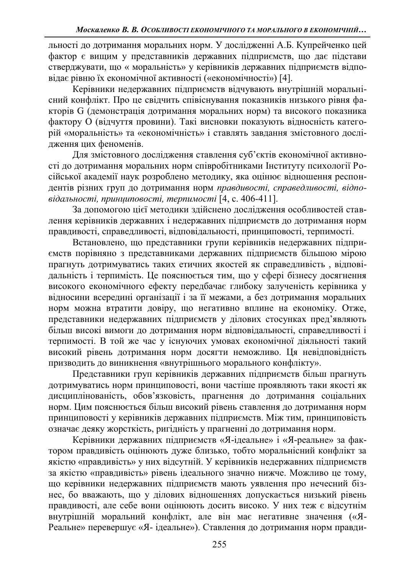льності до дотримання моральних норм. У дослідженні А.Б. Купрейченко цей фактор є вищим у представників державних підприємств, що дає підстави стверджувати, що « моральність» у керівників державних підприємств відповідає рівню їх економічної активності («економічності») [4].

Керівники недержавних підприємств відчувають внутрішній моральнісний конфлікт. Про це свідчить співіснування показників низького рівня факторів G (демонстрація дотримання моральних норм) та високого показника фактору О (відчуття провини). Такі висновки показують відносність категопій «моральність» та «економічність» і ставлять завдання змістовного дослідження цих феноменів.

Для змістовного дослідження ставлення суб'єктів економічної активності до дотримання моральних норм співробітниками Інституту психології Російської академії наук розроблено методику, яка оцінює відношення респондентів різних груп до дотримання норм правдивості, справедливості, відпо*ɜɿɞɚɥɶɧɨɫɬɿɩɪɢɧɰɢɩɨɜɨɫɬɿɬɟɪɩɢɦɨɫɬɿ* [4, c. 406-411].

За допомогою цієї методики здійснено дослідження особливостей ставлення керівників державних і недержавних підприємств до дотримання норм правдивості, справедливості, відповідальності, принциповості, терпимості.

Встановлено, що представники групи керівників недержавних підприемств порівняно з представниками державних підприємств більшою мірою прагнуть дотримуватись таких етичних якостей як справедливість, відповідальність і терпимість. Це пояснюється тим, що у сфері бізнесу досягнення високого економічного ефекту передбачає глибоку залученість керівника у відносини всередині організації і за її межами, а без дотримання моральних норм можна втратити довіру, що негативно вплине на економіку. Отже, представники недержавних підприємств у ділових стосунках пред'являють більш високі вимоги до дотримання норм відповідальності, справедливості і терпимості. В той же час у існуючих умовах економічної діяльності такий високий рівень дотримання норм досягти неможливо. Ця невідповідність призводить до виникнення «внутрішнього морального конфлікту».

Представники груп керівників державних підприємств більш прагнуть дотримуватись норм принциповості, вони частіше проявляють таки якості як дисциплінованість, обов'язковість, прагнення до дотримання соціальних норм. Цим пояснюється більш високий рівень ставлення до дотримання норм принциповості у керівників державних підприємств. Між тим, принциповість означає деяку жорсткість, ригідність у прагненні до дотримання норм.

Керівники державних підприємств «Я-ідеальне» і «Я-реальне» за фактором правдивість оцінюють дуже близько, тобто моральнісний конфлікт за якістю «правдивість» у них відсутній. У керівників недержавних підприємств за якістю «правдивість» рівень ідеального значно нижче. Можливо це тому, що керівники недержавних підприємств мають уявлення про нечесний бізнес, бо вважають, що у ділових відношеннях допускається низький рівень правдивості, але себе вони оцінюють досить високо. У них теж є відсутнім внутрішній моральний конфлікт, але він має негативне значення («Я-Реальне» перевершує «Я- ідеальне»). Ставлення до дотримання норм правди-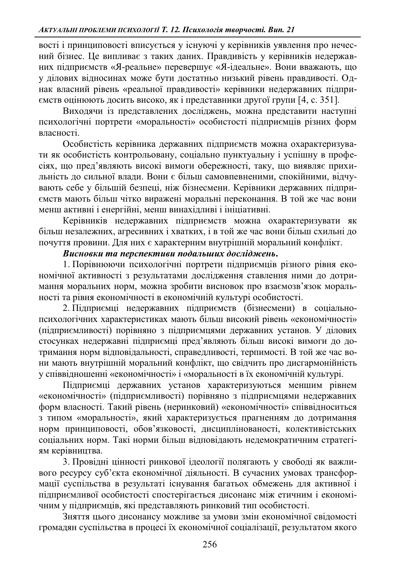вості і принциповості вписується у існуючі у керівників уявлення про нечесний бізнес. Це випливає з таких даних. Правдивість у керівників недержавних підприємств «Я-реальне» перевершує «Я-ідеальне». Вони вважають, що у ділових відносинах може бути достатньо низький рівень правдивості. Однак власний рівень «реальної правдивості» керівники недержавних підпри- $\epsilon$ мств оцінюють досить високо, як і представники другої групи [4, с. 351].

Виходячи із представлених досліджень, можна представити наступні психологічні портрети «моральності» особистості підприємців різних форм власності.

Особистість керівника державних підприємств можна охарактеризувати як особистість контрольовану, соціально пунктуальну і успішну в професіях, що пред'являють високі вимоги обережності, таку, що виявляє прихильність до сильної влади. Вони є більш самовпевненими, спокійними, відчувають себе у більшій безпеці, ніж бізнесмени. Керівники державних підприємств мають більш чітко виражені моральні переконання. В той же час вони менш активні і енергійні, менш винахідливі і ініціативні.

Керівників недержавних підприємств можна охарактеризувати як більш незалежних, агресивних і хватких, і в той же час вони більш схильні до почуття провини. Для них є характерним внутрішній моральний конфлікт.

# *ȼɢɫɧɨɜɤɢɬɚɩɟɪɫɩɟɤɬɢɜɢɩɨɞɚɥɶɲɢɯɞɨɫɥɿɞɠɟɧɶ***.**

1. Порівнюючи психологічні портрети підприємців різного рівня економічної активності з результатами дослідження ставлення ними до дотримання моральних норм, можна зробити висновок про взаємозв'язок моральності та рівня економічності в економічній культурі особистості.

2. Підприємці недержавних підприємств (бізнесмени) в соціальнопсихологічних характеристиках мають більш високий рівень «економічності» (підприємливості) порівняно з підприємцями державних установ. У ділових стосунках недержавні підприємці пред'являють більш високі вимоги до дотримання норм відповідальності, справедливості, терпимості. В той же час вони мають внутрішній моральний конфлікт, що свідчить про дисгармонійність у співвідношенні «економічності» і «моральності в їх економічній культурі.

Підприємці державних установ характеризуються меншим рівнем «економічності» (підприємливості) порівняно з підприємцями недержавних форм власності. Такий рівень (неринковий) «економічності» співвідноситься з типом «моральності», який характеризується прагненням до дотримання норм принциповості, обов'язковості, дисциплінованості, колективістських соціальних норм. Такі норми більш відповідають недемократичним стратегіям керівництва.

3. Провідні цінності ринкової ідеології полягають у свободі як важливого ресурсу суб'єкта економічної діяльності. В сучасних умовах трансформації суспільства в результаті існування багатьох обмежень для активної і підприємливої особистості спостерігається дисонанс між етичним і економічним у підприємців, які представляють ринковий тип особистості.

Зняття цього дисонансу можливе за умови змін економічної свідомості громадян суспільства в процесі їх економічної соціалізації, результатом якого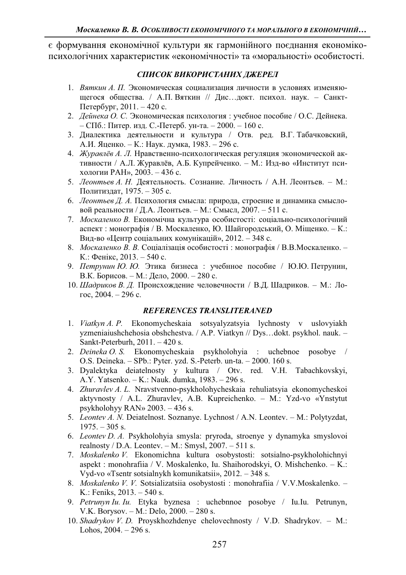€ формування економічної культури як гармонійного поєднання економікопсихологічних характеристик «економічності» та «моральності» особистості.

### СПИСОК ВИКОРИСТАНИХ ДЖЕРЕЛ

- 1. Вяткин А. П. Экономическая социализация личности в условиях изменяющегося общества. / А.П. Вяткин // Дис...докт. психол. наук. - Санкт- $\Pi$ erepõypr, 2011.  $-$  420 c.
- 2. *Дейнека О. С.* Экономическая психология: учебное пособие / О.С. Дейнека.  $-$  СПб.: Питер. изд. С.-Петерб. ун-та.  $-$  2000.  $-$  160 с.
- 3. Диалектика деятельности и культура / Отв. ред. В.Г. Табачковский, А.И. Яценко. - К.: Наук. думка, 1983. - 296 с.
- 4. Журавлёв А. Л. Нравственно-психологическая регуляция экономической активности / А.Л. Журавлёв, А.Б. Купрейченко. – М.: Изд-во «Институт психологии РАН», 2003. - 436 с.
- 5. *Леонтьев А. Н.* Деятельность. Сознание. Личность / А.Н. Леонтьев. М.: Политиздат, 1975. - 305 с.
- 6. *Леонтьев Д.А.* Психология смысла: природа, строение и динамика смысловой реальности / Д.А. Леонтьев. – М.: Смысл, 2007. – 511 с.
- 7. *Москаленко В*. Економічна культура особистості: соціально-психологічний аспект: монографія / В. Москаленко, Ю. Шайгородський, О. Міщенко. - К.: Вид-во «Центр соціальних комунікацій», 2012. – 348 с.
- 8. *Москаленко В. В.* Соціалізація особистості: монографія / В.В. Москаленко. -К.: Фенікс, 2013. - 540 с.
- 9. *Петрунин Ю.Ю.* Этика бизнеса: учебнное пособие / Ю.Ю. Петрунин, В.К. Борисов. – М.: Дело, 2000. – 280 с.
- 10. Шадриков В. Д. Происхождение человечности / В.Д. Шадриков. М.: Лоroc,  $2004. - 296$  c.

### $REFERENCES$   $TRANSLITERANED$

- 1. *Viatkyn A. P.* Ekonomycheskaia sotsyalyzatsyia lychnosty v uslovyiakh vzmeniajushchehosia obshchestva. / A.P. Viatkyn // Dys...dokt. psykhol. nauk. -Sankt-Peterburh,  $2011. - 420$  s.
- 2. *Deineka O. S.* Ekonomycheskaia psykholohyia : uchebnoe posobye / O.S. Deineka. - SPb.: Pyter. yzd. S.-Peterb. un-ta. - 2000. 160 s.
- 3. Dyalektyka deiatelnosty y kultura / Otv. red. V.H. Tabachkovskyi, A.Y. Yatsenko. – K.: Nauk. dumka, 1983. – 296 s.
- 4. *Zhuravlev A. L.* Nravstvenno-psykholohycheskaia rehuliatsyia ekonomycheskoi aktyvnosty / A.L. Zhuravlev, A.B. Kupreichenko. - M.: Yzd-vo «Ynstytut psykholohyy RAN»  $2003. -436$  s.
- 5. *Leontev A. N.* Deiatelnost. Soznanye. Lychnost / A.N. Leontev. M.: Polytyzdat,  $1975. - 305$  s.
- 6. *Leontev D. A.* Psykholohyia smysla: pryroda, stroenye y dynamyka smyslovoi realnosty / D.A. Leontev.  $-M$ .: Smysl, 2007.  $-511$  s.
- 7. *Moskalenko V.* Ekonomichna kultura osobystosti: sotsialno-psykholohichnyi aspekt : monohrafiia / V. Moskalenko, Iu. Shaihorodskyi, O. Mishchenko. - K.: Vyd-vo «Tsentr sotsialnykh komunikatsii»,  $2012 - 348$  s.
- 8. Moskalenko V. V. Sotsializatsiia osobystosti : monohrafiia / V.V.Moskalenko. -K.: Feniks,  $2013. - 540$  s.
- 9. *Petrunyn Iu. Iu.* Etyka byznesa : uchebnnoe posobye / Iu.Iu. Petrunyn, V.K. Borysov.  $- M$ .: Delo, 2000.  $- 280$  s.
- 10. *Shadrykov V. D.* Proyskhozhdenye chelovechnosty / V.D. Shadrykov. M.: Lohos,  $2004. - 296$  s.